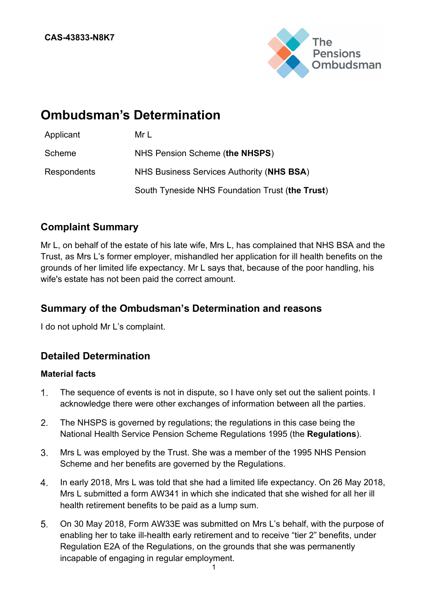

# **Ombudsman's Determination**

| Applicant   | Mr L                                            |
|-------------|-------------------------------------------------|
| Scheme      | NHS Pension Scheme (the NHSPS)                  |
| Respondents | NHS Business Services Authority (NHS BSA)       |
|             | South Tyneside NHS Foundation Trust (the Trust) |

# **Complaint Summary**

Mr L, on behalf of the estate of his late wife, Mrs L, has complained that NHS BSA and the Trust, as Mrs L's former employer, mishandled her application for ill health benefits on the grounds of her limited life expectancy. Mr L says that, because of the poor handling, his wife's estate has not been paid the correct amount.

# **Summary of the Ombudsman's Determination and reasons**

I do not uphold Mr L's complaint.

# **Detailed Determination**

### **Material facts**

- $1<sub>1</sub>$ The sequence of events is not in dispute, so I have only set out the salient points. I acknowledge there were other exchanges of information between all the parties.
- $2<sub>1</sub>$ The NHSPS is governed by regulations; the regulations in this case being the National Health Service Pension Scheme Regulations 1995 (the **Regulations**).
- $3<sub>1</sub>$ Mrs L was employed by the Trust. She was a member of the 1995 NHS Pension Scheme and her benefits are governed by the Regulations.
- $4.$ In early 2018, Mrs L was told that she had a limited life expectancy. On 26 May 2018, Mrs L submitted a form AW341 in which she indicated that she wished for all her ill health retirement benefits to be paid as a lump sum.
- $5<sub>1</sub>$ On 30 May 2018, Form AW33E was submitted on Mrs L's behalf, with the purpose of enabling her to take ill-health early retirement and to receive "tier 2" benefits, under Regulation E2A of the Regulations, on the grounds that she was permanently incapable of engaging in regular employment.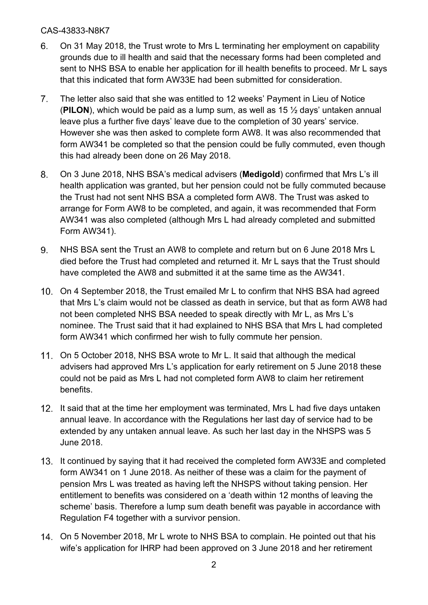- 6. On 31 May 2018, the Trust wrote to Mrs L terminating her employment on capability grounds due to ill health and said that the necessary forms had been completed and sent to NHS BSA to enable her application for ill health benefits to proceed. Mr L says that this indicated that form AW33E had been submitted for consideration.
- The letter also said that she was entitled to 12 weeks' Payment in Lieu of Notice  $7<sub>1</sub>$ (**PILON**), which would be paid as a lump sum, as well as 15 ½ days' untaken annual leave plus a further five days' leave due to the completion of 30 years' service. However she was then asked to complete form AW8. It was also recommended that form AW341 be completed so that the pension could be fully commuted, even though this had already been done on 26 May 2018.
- On 3 June 2018, NHS BSA's medical advisers (**Medigold**) confirmed that Mrs L's ill 8. health application was granted, but her pension could not be fully commuted because the Trust had not sent NHS BSA a completed form AW8. The Trust was asked to arrange for Form AW8 to be completed, and again, it was recommended that Form AW341 was also completed (although Mrs L had already completed and submitted Form AW341).
- NHS BSA sent the Trust an AW8 to complete and return but on 6 June 2018 Mrs L 9. died before the Trust had completed and returned it. Mr L says that the Trust should have completed the AW8 and submitted it at the same time as the AW341.
- On 4 September 2018, the Trust emailed Mr L to confirm that NHS BSA had agreed that Mrs L's claim would not be classed as death in service, but that as form AW8 had not been completed NHS BSA needed to speak directly with Mr L, as Mrs L's nominee. The Trust said that it had explained to NHS BSA that Mrs L had completed form AW341 which confirmed her wish to fully commute her pension.
- On 5 October 2018, NHS BSA wrote to Mr L. It said that although the medical advisers had approved Mrs L's application for early retirement on 5 June 2018 these could not be paid as Mrs L had not completed form AW8 to claim her retirement benefits.
- 12. It said that at the time her employment was terminated. Mrs L had five days untaken annual leave. In accordance with the Regulations her last day of service had to be extended by any untaken annual leave. As such her last day in the NHSPS was 5 June 2018.
- 13. It continued by saying that it had received the completed form AW33E and completed form AW341 on 1 June 2018. As neither of these was a claim for the payment of pension Mrs L was treated as having left the NHSPS without taking pension. Her entitlement to benefits was considered on a 'death within 12 months of leaving the scheme' basis. Therefore a lump sum death benefit was payable in accordance with Regulation F4 together with a survivor pension.
- On 5 November 2018, Mr L wrote to NHS BSA to complain. He pointed out that his wife's application for IHRP had been approved on 3 June 2018 and her retirement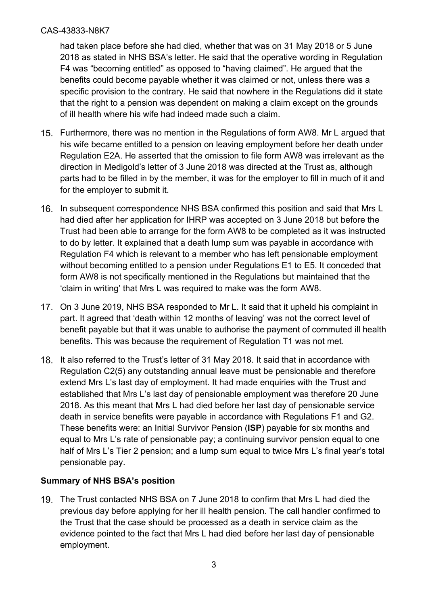had taken place before she had died, whether that was on 31 May 2018 or 5 June 2018 as stated in NHS BSA's letter. He said that the operative wording in Regulation F4 was "becoming entitled" as opposed to "having claimed". He argued that the benefits could become payable whether it was claimed or not, unless there was a specific provision to the contrary. He said that nowhere in the Regulations did it state that the right to a pension was dependent on making a claim except on the grounds of ill health where his wife had indeed made such a claim.

- Furthermore, there was no mention in the Regulations of form AW8. Mr L argued that his wife became entitled to a pension on leaving employment before her death under Regulation E2A. He asserted that the omission to file form AW8 was irrelevant as the direction in Medigold's letter of 3 June 2018 was directed at the Trust as, although parts had to be filled in by the member, it was for the employer to fill in much of it and for the employer to submit it.
- 16. In subsequent correspondence NHS BSA confirmed this position and said that Mrs L had died after her application for IHRP was accepted on 3 June 2018 but before the Trust had been able to arrange for the form AW8 to be completed as it was instructed to do by letter. It explained that a death lump sum was payable in accordance with Regulation F4 which is relevant to a member who has left pensionable employment without becoming entitled to a pension under Regulations E1 to E5. It conceded that form AW8 is not specifically mentioned in the Regulations but maintained that the 'claim in writing' that Mrs L was required to make was the form AW8.
- 17. On 3 June 2019, NHS BSA responded to Mr L. It said that it upheld his complaint in part. It agreed that 'death within 12 months of leaving' was not the correct level of benefit payable but that it was unable to authorise the payment of commuted ill health benefits. This was because the requirement of Regulation T1 was not met.
- 18. It also referred to the Trust's letter of 31 May 2018. It said that in accordance with Regulation C2(5) any outstanding annual leave must be pensionable and therefore extend Mrs L's last day of employment. It had made enquiries with the Trust and established that Mrs L's last day of pensionable employment was therefore 20 June 2018. As this meant that Mrs L had died before her last day of pensionable service death in service benefits were payable in accordance with Regulations F1 and G2. These benefits were: an Initial Survivor Pension (**ISP**) payable for six months and equal to Mrs L's rate of pensionable pay; a continuing survivor pension equal to one half of Mrs L's Tier 2 pension; and a lump sum equal to twice Mrs L's final year's total pensionable pay.

# **Summary of NHS BSA's position**

The Trust contacted NHS BSA on 7 June 2018 to confirm that Mrs L had died the previous day before applying for her ill health pension. The call handler confirmed to the Trust that the case should be processed as a death in service claim as the evidence pointed to the fact that Mrs L had died before her last day of pensionable employment.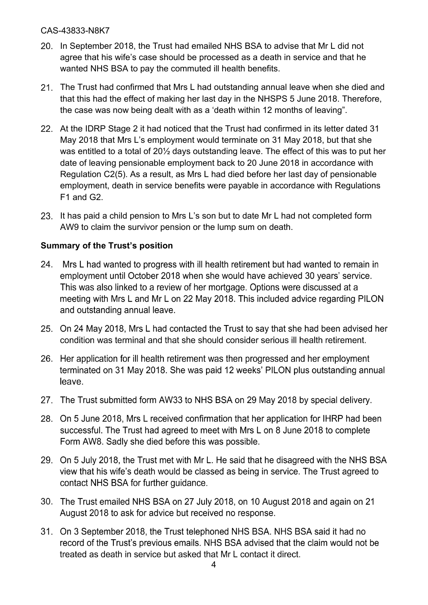- 20. In September 2018, the Trust had emailed NHS BSA to advise that Mr L did not agree that his wife's case should be processed as a death in service and that he wanted NHS BSA to pay the commuted ill health benefits.
- 21. The Trust had confirmed that Mrs L had outstanding annual leave when she died and that this had the effect of making her last day in the NHSPS 5 June 2018. Therefore, the case was now being dealt with as a 'death within 12 months of leaving".
- 22. At the IDRP Stage 2 it had noticed that the Trust had confirmed in its letter dated 31 May 2018 that Mrs L's employment would terminate on 31 May 2018, but that she was entitled to a total of 20½ days outstanding leave. The effect of this was to put her date of leaving pensionable employment back to 20 June 2018 in accordance with Regulation C2(5). As a result, as Mrs L had died before her last day of pensionable employment, death in service benefits were payable in accordance with Regulations F1 and G2.
- 23. It has paid a child pension to Mrs L's son but to date Mr L had not completed form AW9 to claim the survivor pension or the lump sum on death.

# **Summary of the Trust's position**

- 24. Mrs L had wanted to progress with ill health retirement but had wanted to remain in employment until October 2018 when she would have achieved 30 years' service. This was also linked to a review of her mortgage. Options were discussed at a meeting with Mrs L and Mr L on 22 May 2018. This included advice regarding PILON and outstanding annual leave.
- 25. On 24 May 2018, Mrs L had contacted the Trust to say that she had been advised her condition was terminal and that she should consider serious ill health retirement.
- 26. Her application for ill health retirement was then progressed and her employment terminated on 31 May 2018. She was paid 12 weeks' PILON plus outstanding annual leave.
- 27. The Trust submitted form AW33 to NHS BSA on 29 May 2018 by special delivery.
- 28. On 5 June 2018, Mrs L received confirmation that her application for IHRP had been successful. The Trust had agreed to meet with Mrs L on 8 June 2018 to complete Form AW8. Sadly she died before this was possible.
- 29. On 5 July 2018, the Trust met with Mr L. He said that he disagreed with the NHS BSA view that his wife's death would be classed as being in service. The Trust agreed to contact NHS BSA for further guidance.
- 30. The Trust emailed NHS BSA on 27 July 2018, on 10 August 2018 and again on 21 August 2018 to ask for advice but received no response.
- 31. On 3 September 2018, the Trust telephoned NHS BSA. NHS BSA said it had no record of the Trust's previous emails. NHS BSA advised that the claim would not be treated as death in service but asked that Mr L contact it direct.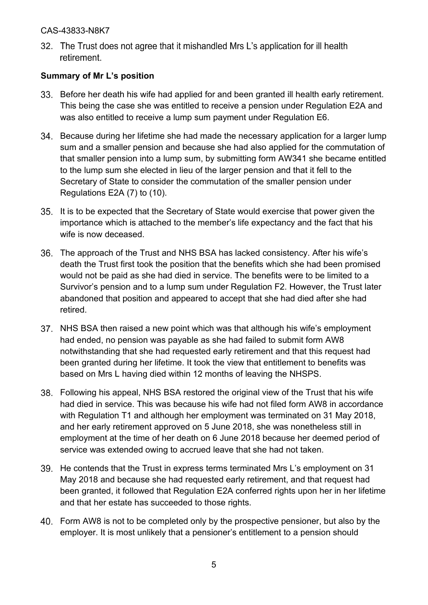32. The Trust does not agree that it mishandled Mrs L's application for ill health retirement.

# **Summary of Mr L's position**

- Before her death his wife had applied for and been granted ill health early retirement. This being the case she was entitled to receive a pension under Regulation E2A and was also entitled to receive a lump sum payment under Regulation E6.
- 34. Because during her lifetime she had made the necessary application for a larger lump sum and a smaller pension and because she had also applied for the commutation of that smaller pension into a lump sum, by submitting form AW341 she became entitled to the lump sum she elected in lieu of the larger pension and that it fell to the Secretary of State to consider the commutation of the smaller pension under Regulations E2A (7) to (10).
- It is to be expected that the Secretary of State would exercise that power given the importance which is attached to the member's life expectancy and the fact that his wife is now deceased.
- The approach of the Trust and NHS BSA has lacked consistency. After his wife's death the Trust first took the position that the benefits which she had been promised would not be paid as she had died in service. The benefits were to be limited to a Survivor's pension and to a lump sum under Regulation F2. However, the Trust later abandoned that position and appeared to accept that she had died after she had retired.
- NHS BSA then raised a new point which was that although his wife's employment had ended, no pension was payable as she had failed to submit form AW8 notwithstanding that she had requested early retirement and that this request had been granted during her lifetime. It took the view that entitlement to benefits was based on Mrs L having died within 12 months of leaving the NHSPS.
- Following his appeal, NHS BSA restored the original view of the Trust that his wife had died in service. This was because his wife had not filed form AW8 in accordance with Regulation T1 and although her employment was terminated on 31 May 2018, and her early retirement approved on 5 June 2018, she was nonetheless still in employment at the time of her death on 6 June 2018 because her deemed period of service was extended owing to accrued leave that she had not taken.
- 39. He contends that the Trust in express terms terminated Mrs L's employment on 31 May 2018 and because she had requested early retirement, and that request had been granted, it followed that Regulation E2A conferred rights upon her in her lifetime and that her estate has succeeded to those rights.
- Form AW8 is not to be completed only by the prospective pensioner, but also by the employer. It is most unlikely that a pensioner's entitlement to a pension should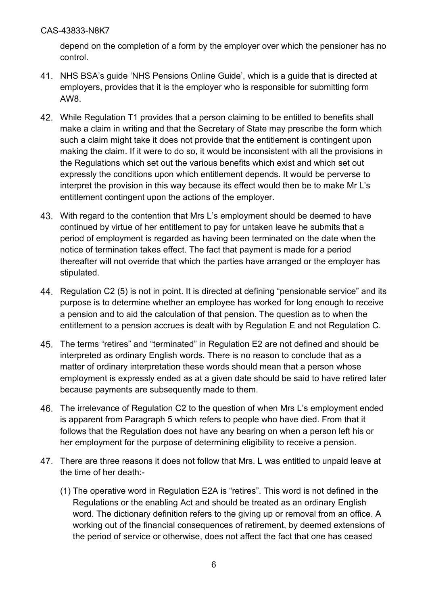depend on the completion of a form by the employer over which the pensioner has no control.

- NHS BSA's guide 'NHS Pensions Online Guide', which is a guide that is directed at employers, provides that it is the employer who is responsible for submitting form AW8.
- While Regulation T1 provides that a person claiming to be entitled to benefits shall make a claim in writing and that the Secretary of State may prescribe the form which such a claim might take it does not provide that the entitlement is contingent upon making the claim. If it were to do so, it would be inconsistent with all the provisions in the Regulations which set out the various benefits which exist and which set out expressly the conditions upon which entitlement depends. It would be perverse to interpret the provision in this way because its effect would then be to make Mr L's entitlement contingent upon the actions of the employer.
- With regard to the contention that Mrs L's employment should be deemed to have continued by virtue of her entitlement to pay for untaken leave he submits that a period of employment is regarded as having been terminated on the date when the notice of termination takes effect. The fact that payment is made for a period thereafter will not override that which the parties have arranged or the employer has stipulated.
- Regulation C2 (5) is not in point. It is directed at defining "pensionable service" and its purpose is to determine whether an employee has worked for long enough to receive a pension and to aid the calculation of that pension. The question as to when the entitlement to a pension accrues is dealt with by Regulation E and not Regulation C.
- The terms "retires" and "terminated" in Regulation E2 are not defined and should be interpreted as ordinary English words. There is no reason to conclude that as a matter of ordinary interpretation these words should mean that a person whose employment is expressly ended as at a given date should be said to have retired later because payments are subsequently made to them.
- The irrelevance of Regulation C2 to the question of when Mrs L's employment ended is apparent from Paragraph 5 which refers to people who have died. From that it follows that the Regulation does not have any bearing on when a person left his or her employment for the purpose of determining eligibility to receive a pension.
- There are three reasons it does not follow that Mrs. L was entitled to unpaid leave at the time of her death:-
	- (1) The operative word in Regulation E2A is "retires". This word is not defined in the Regulations or the enabling Act and should be treated as an ordinary English word. The dictionary definition refers to the giving up or removal from an office. A working out of the financial consequences of retirement, by deemed extensions of the period of service or otherwise, does not affect the fact that one has ceased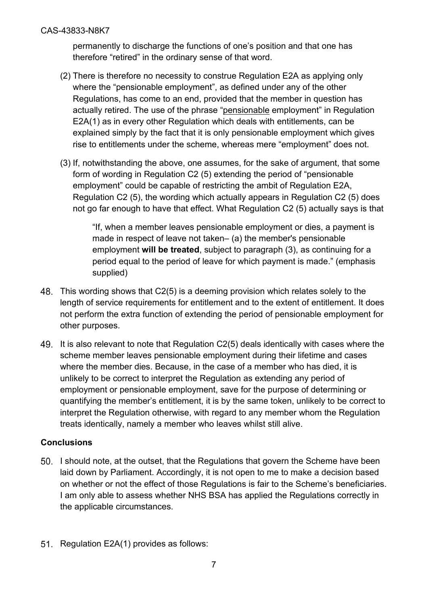permanently to discharge the functions of one's position and that one has therefore "retired" in the ordinary sense of that word.

- (2) There is therefore no necessity to construe Regulation E2A as applying only where the "pensionable employment", as defined under any of the other Regulations, has come to an end, provided that the member in question has actually retired. The use of the phrase "pensionable employment" in Regulation E2A(1) as in every other Regulation which deals with entitlements, can be explained simply by the fact that it is only pensionable employment which gives rise to entitlements under the scheme, whereas mere "employment" does not.
- (3) If, notwithstanding the above, one assumes, for the sake of argument, that some form of wording in Regulation C2 (5) extending the period of "pensionable employment" could be capable of restricting the ambit of Regulation E2A, Regulation C2 (5), the wording which actually appears in Regulation C2 (5) does not go far enough to have that effect. What Regulation C2 (5) actually says is that

"If, when a member leaves pensionable employment or dies, a payment is made in respect of leave not taken– (a) the member's pensionable employment **will be treated**, subject to paragraph (3), as continuing for a period equal to the period of leave for which payment is made." (emphasis supplied)

- This wording shows that C2(5) is a deeming provision which relates solely to the length of service requirements for entitlement and to the extent of entitlement. It does not perform the extra function of extending the period of pensionable employment for other purposes.
- It is also relevant to note that Regulation C2(5) deals identically with cases where the scheme member leaves pensionable employment during their lifetime and cases where the member dies. Because, in the case of a member who has died, it is unlikely to be correct to interpret the Regulation as extending any period of employment or pensionable employment, save for the purpose of determining or quantifying the member's entitlement, it is by the same token, unlikely to be correct to interpret the Regulation otherwise, with regard to any member whom the Regulation treats identically, namely a member who leaves whilst still alive.

# **Conclusions**

- I should note, at the outset, that the Regulations that govern the Scheme have been laid down by Parliament. Accordingly, it is not open to me to make a decision based on whether or not the effect of those Regulations is fair to the Scheme's beneficiaries. I am only able to assess whether NHS BSA has applied the Regulations correctly in the applicable circumstances.
- 51. Regulation E2A(1) provides as follows: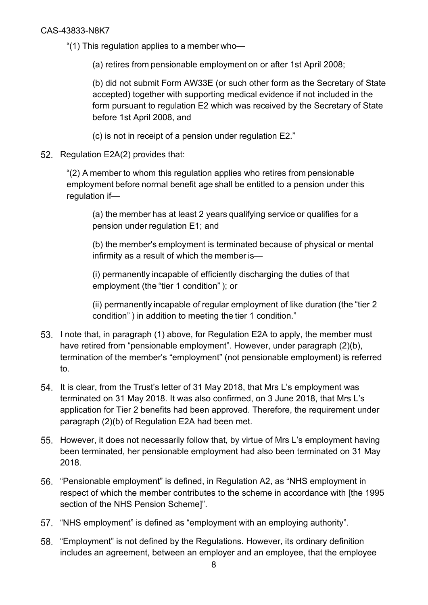"(1) This regulation applies to a member who—

(a) retires from pensionable employment on or after 1st April 2008;

(b) did not submit Form AW33E (or such other form as the Secretary of State accepted) together with supporting medical evidence if not included in the form pursuant to regulation E2 which was received by the Secretary of State before 1st April 2008, and

(c) is not in receipt of a pension under regulation E2."

52. Regulation E2A(2) provides that:

"(2) A member to whom this regulation applies who retires from pensionable employment before normal benefit age shall be entitled to a pension under this regulation if—

(a) the member has at least 2 years qualifying service or qualifies for a pension under regulation E1; and

(b) the member's employment is terminated because of physical or mental infirmity as a result of which the member is—

(i) permanently incapable of efficiently discharging the duties of that employment (the "tier 1 condition" ); or

(ii) permanently incapable of regular employment of like duration (the "tier 2 condition" ) in addition to meeting the tier 1 condition."

- 53. I note that, in paragraph (1) above, for Regulation E2A to apply, the member must have retired from "pensionable employment". However, under paragraph (2)(b), termination of the member's "employment" (not pensionable employment) is referred to.
- 54. It is clear, from the Trust's letter of 31 May 2018, that Mrs L's employment was terminated on 31 May 2018. It was also confirmed, on 3 June 2018, that Mrs L's application for Tier 2 benefits had been approved. Therefore, the requirement under paragraph (2)(b) of Regulation E2A had been met.
- 55. However, it does not necessarily follow that, by virtue of Mrs L's employment having been terminated, her pensionable employment had also been terminated on 31 May 2018.
- "Pensionable employment" is defined, in Regulation A2, as "NHS employment in respect of which the member contributes to the scheme in accordance with [the 1995 section of the NHS Pension Scheme]".
- 57. "NHS employment" is defined as "employment with an employing authority".
- "Employment" is not defined by the Regulations. However, its ordinary definition includes an agreement, between an employer and an employee, that the employee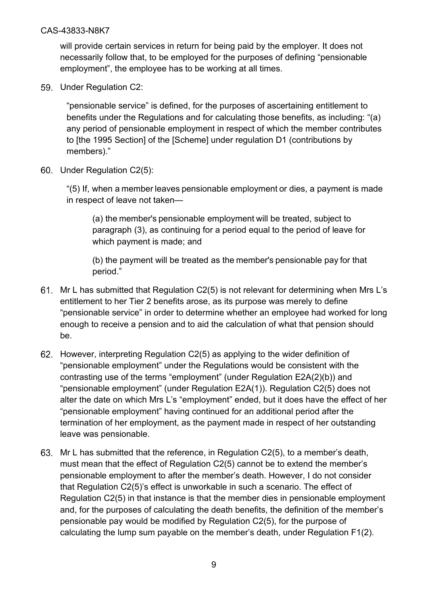will provide certain services in return for being paid by the employer. It does not necessarily follow that, to be employed for the purposes of defining "pensionable employment", the employee has to be working at all times.

59. Under Regulation C2:

"pensionable service" is defined, for the purposes of ascertaining entitlement to benefits under the Regulations and for calculating those benefits, as including: "(a) any period of pensionable employment in respect of which the member contributes to [the 1995 Section] of the [Scheme] under regulation D1 (contributions by members)."

60. Under Regulation C2(5):

"(5) If, when a member leaves pensionable employment or dies, a payment is made in respect of leave not taken—

(a) the member's pensionable employment will be treated, subject to paragraph (3), as continuing for a period equal to the period of leave for which payment is made; and

(b) the payment will be treated as the member's pensionable pay for that period."

- Mr L has submitted that Regulation C2(5) is not relevant for determining when Mrs L's entitlement to her Tier 2 benefits arose, as its purpose was merely to define "pensionable service" in order to determine whether an employee had worked for long enough to receive a pension and to aid the calculation of what that pension should be.
- However, interpreting Regulation C2(5) as applying to the wider definition of "pensionable employment" under the Regulations would be consistent with the contrasting use of the terms "employment" (under Regulation E2A(2)(b)) and "pensionable employment" (under Regulation E2A(1)). Regulation C2(5) does not alter the date on which Mrs L's "employment" ended, but it does have the effect of her "pensionable employment" having continued for an additional period after the termination of her employment, as the payment made in respect of her outstanding leave was pensionable.
- Mr L has submitted that the reference, in Regulation C2(5), to a member's death, must mean that the effect of Regulation C2(5) cannot be to extend the member's pensionable employment to after the member's death. However, I do not consider that Regulation C2(5)'s effect is unworkable in such a scenario. The effect of Regulation C2(5) in that instance is that the member dies in pensionable employment and, for the purposes of calculating the death benefits, the definition of the member's pensionable pay would be modified by Regulation C2(5), for the purpose of calculating the lump sum payable on the member's death, under Regulation F1(2).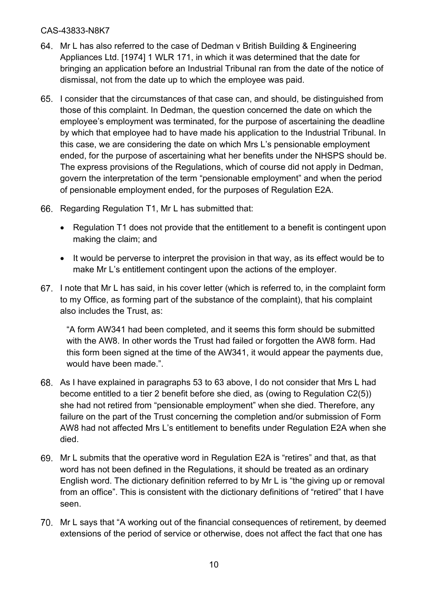- Mr L has also referred to the case of Dedman v British Building & Engineering Appliances Ltd. [1974] 1 WLR 171, in which it was determined that the date for bringing an application before an Industrial Tribunal ran from the date of the notice of dismissal, not from the date up to which the employee was paid.
- I consider that the circumstances of that case can, and should, be distinguished from those of this complaint. In Dedman, the question concerned the date on which the employee's employment was terminated, for the purpose of ascertaining the deadline by which that employee had to have made his application to the Industrial Tribunal. In this case, we are considering the date on which Mrs L's pensionable employment ended, for the purpose of ascertaining what her benefits under the NHSPS should be. The express provisions of the Regulations, which of course did not apply in Dedman, govern the interpretation of the term "pensionable employment" and when the period of pensionable employment ended, for the purposes of Regulation E2A.
- 66. Regarding Regulation T1, Mr L has submitted that:
	- Regulation T1 does not provide that the entitlement to a benefit is contingent upon making the claim; and
	- It would be perverse to interpret the provision in that way, as its effect would be to make Mr L's entitlement contingent upon the actions of the employer.
- 67. I note that Mr L has said, in his cover letter (which is referred to, in the complaint form to my Office, as forming part of the substance of the complaint), that his complaint also includes the Trust, as:

"A form AW341 had been completed, and it seems this form should be submitted with the AW8. In other words the Trust had failed or forgotten the AW8 form. Had this form been signed at the time of the AW341, it would appear the payments due, would have been made.".

- As I have explained in paragraphs 53 to 63 above, I do not consider that Mrs L had become entitled to a tier 2 benefit before she died, as (owing to Regulation C2(5)) she had not retired from "pensionable employment" when she died. Therefore, any failure on the part of the Trust concerning the completion and/or submission of Form AW8 had not affected Mrs L's entitlement to benefits under Regulation E2A when she died.
- Mr L submits that the operative word in Regulation E2A is "retires" and that, as that word has not been defined in the Regulations, it should be treated as an ordinary English word. The dictionary definition referred to by Mr L is "the giving up or removal from an office". This is consistent with the dictionary definitions of "retired" that I have seen.
- Mr L says that "A working out of the financial consequences of retirement, by deemed extensions of the period of service or otherwise, does not affect the fact that one has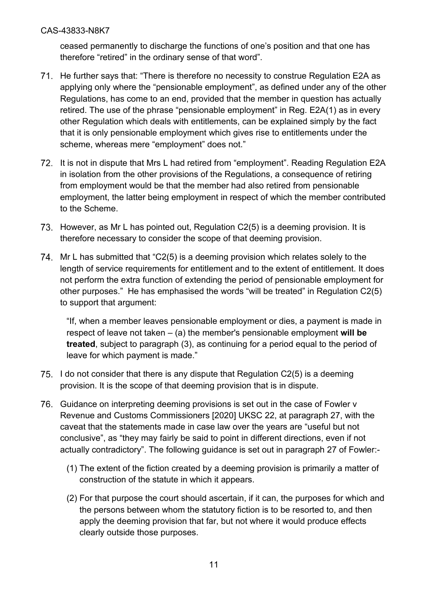ceased permanently to discharge the functions of one's position and that one has therefore "retired" in the ordinary sense of that word".

- 71. He further says that: "There is therefore no necessity to construe Regulation E2A as applying only where the "pensionable employment", as defined under any of the other Regulations, has come to an end, provided that the member in question has actually retired. The use of the phrase "pensionable employment" in Reg. E2A(1) as in every other Regulation which deals with entitlements, can be explained simply by the fact that it is only pensionable employment which gives rise to entitlements under the scheme, whereas mere "employment" does not."
- 72. It is not in dispute that Mrs L had retired from "employment". Reading Regulation E2A in isolation from the other provisions of the Regulations, a consequence of retiring from employment would be that the member had also retired from pensionable employment, the latter being employment in respect of which the member contributed to the Scheme.
- 73. However, as Mr L has pointed out, Regulation C2(5) is a deeming provision. It is therefore necessary to consider the scope of that deeming provision.
- 74. Mr L has submitted that "C2(5) is a deeming provision which relates solely to the length of service requirements for entitlement and to the extent of entitlement. It does not perform the extra function of extending the period of pensionable employment for other purposes." He has emphasised the words "will be treated" in Regulation C2(5) to support that argument:

"If, when a member leaves pensionable employment or dies, a payment is made in respect of leave not taken – (a) the member's pensionable employment **will be treated**, subject to paragraph (3), as continuing for a period equal to the period of leave for which payment is made."

- 75. I do not consider that there is any dispute that Regulation  $C<sub>2</sub>(5)$  is a deeming provision. It is the scope of that deeming provision that is in dispute.
- 76. Guidance on interpreting deeming provisions is set out in the case of Fowler v Revenue and Customs Commissioners [2020] UKSC 22, at paragraph 27, with the caveat that the statements made in case law over the years are "useful but not conclusive", as "they may fairly be said to point in different directions, even if not actually contradictory". The following guidance is set out in paragraph 27 of Fowler:-
	- (1) The extent of the fiction created by a deeming provision is primarily a matter of construction of the statute in which it appears.
	- (2) For that purpose the court should ascertain, if it can, the purposes for which and the persons between whom the statutory fiction is to be resorted to, and then apply the deeming provision that far, but not where it would produce effects clearly outside those purposes.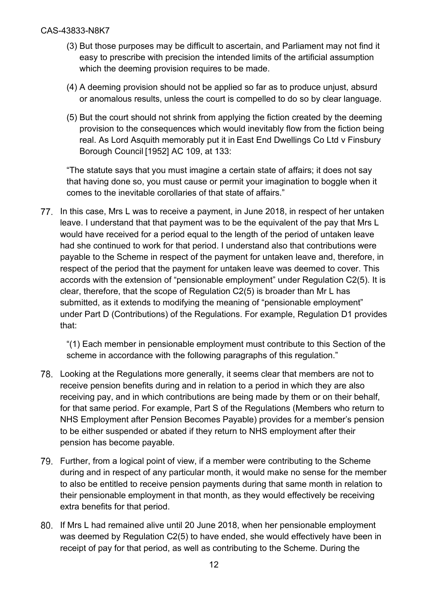- (3) But those purposes may be difficult to ascertain, and Parliament may not find it easy to prescribe with precision the intended limits of the artificial assumption which the deeming provision requires to be made.
- (4) A deeming provision should not be applied so far as to produce unjust, absurd or anomalous results, unless the court is compelled to do so by clear language.
- (5) But the court should not shrink from applying the fiction created by the deeming provision to the consequences which would inevitably flow from the fiction being real. As Lord Asquith memorably put it in East End Dwellings Co Ltd v Finsbury Borough Council [1952] AC 109, at 133:

"The statute says that you must imagine a certain state of affairs; it does not say that having done so, you must cause or permit your imagination to boggle when it comes to the inevitable corollaries of that state of affairs."

In this case, Mrs L was to receive a payment, in June 2018, in respect of her untaken leave. I understand that that payment was to be the equivalent of the pay that Mrs L would have received for a period equal to the length of the period of untaken leave had she continued to work for that period. I understand also that contributions were payable to the Scheme in respect of the payment for untaken leave and, therefore, in respect of the period that the payment for untaken leave was deemed to cover. This accords with the extension of "pensionable employment" under Regulation C2(5). It is clear, therefore, that the scope of Regulation C2(5) is broader than Mr L has submitted, as it extends to modifying the meaning of "pensionable employment" under Part D (Contributions) of the Regulations. For example, Regulation D1 provides that:

"(1) Each member in pensionable employment must contribute to this Section of the scheme in accordance with the following paragraphs of this regulation."

- Looking at the Regulations more generally, it seems clear that members are not to receive pension benefits during and in relation to a period in which they are also receiving pay, and in which contributions are being made by them or on their behalf, for that same period. For example, Part S of the Regulations (Members who return to NHS Employment after Pension Becomes Payable) provides for a member's pension to be either suspended or abated if they return to NHS employment after their pension has become payable.
- Further, from a logical point of view, if a member were contributing to the Scheme during and in respect of any particular month, it would make no sense for the member to also be entitled to receive pension payments during that same month in relation to their pensionable employment in that month, as they would effectively be receiving extra benefits for that period.
- 80. If Mrs L had remained alive until 20 June 2018, when her pensionable employment was deemed by Regulation C2(5) to have ended, she would effectively have been in receipt of pay for that period, as well as contributing to the Scheme. During the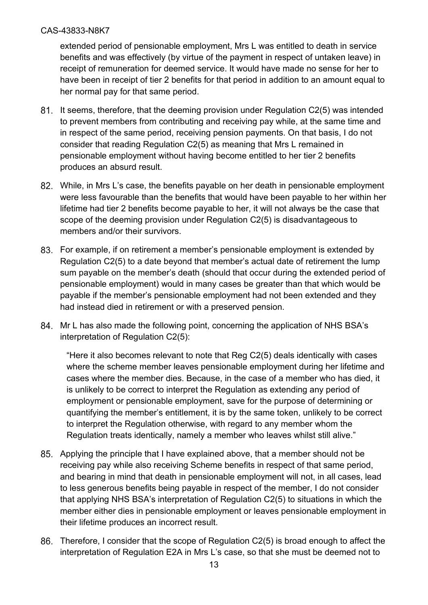extended period of pensionable employment, Mrs L was entitled to death in service benefits and was effectively (by virtue of the payment in respect of untaken leave) in receipt of remuneration for deemed service. It would have made no sense for her to have been in receipt of tier 2 benefits for that period in addition to an amount equal to her normal pay for that same period.

- 81. It seems, therefore, that the deeming provision under Regulation C2(5) was intended to prevent members from contributing and receiving pay while, at the same time and in respect of the same period, receiving pension payments. On that basis, I do not consider that reading Regulation C2(5) as meaning that Mrs L remained in pensionable employment without having become entitled to her tier 2 benefits produces an absurd result.
- While, in Mrs L's case, the benefits payable on her death in pensionable employment were less favourable than the benefits that would have been payable to her within her lifetime had tier 2 benefits become payable to her, it will not always be the case that scope of the deeming provision under Regulation C2(5) is disadvantageous to members and/or their survivors.
- For example, if on retirement a member's pensionable employment is extended by Regulation C2(5) to a date beyond that member's actual date of retirement the lump sum payable on the member's death (should that occur during the extended period of pensionable employment) would in many cases be greater than that which would be payable if the member's pensionable employment had not been extended and they had instead died in retirement or with a preserved pension.
- 84. Mr L has also made the following point, concerning the application of NHS BSA's interpretation of Regulation C2(5):

"Here it also becomes relevant to note that Reg C2(5) deals identically with cases where the scheme member leaves pensionable employment during her lifetime and cases where the member dies. Because, in the case of a member who has died, it is unlikely to be correct to interpret the Regulation as extending any period of employment or pensionable employment, save for the purpose of determining or quantifying the member's entitlement, it is by the same token, unlikely to be correct to interpret the Regulation otherwise, with regard to any member whom the Regulation treats identically, namely a member who leaves whilst still alive."

- Applying the principle that I have explained above, that a member should not be receiving pay while also receiving Scheme benefits in respect of that same period, and bearing in mind that death in pensionable employment will not, in all cases, lead to less generous benefits being payable in respect of the member, I do not consider that applying NHS BSA's interpretation of Regulation C2(5) to situations in which the member either dies in pensionable employment or leaves pensionable employment in their lifetime produces an incorrect result.
- Therefore, I consider that the scope of Regulation C2(5) is broad enough to affect the interpretation of Regulation E2A in Mrs L's case, so that she must be deemed not to